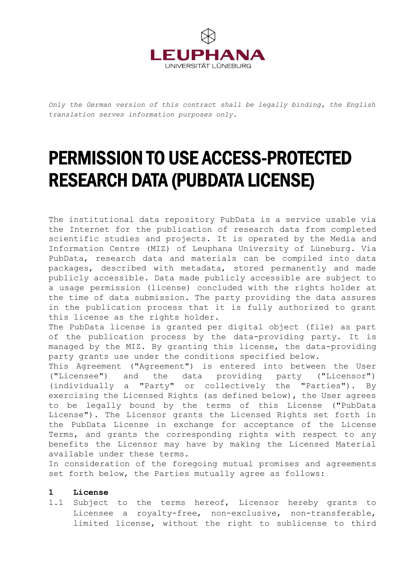

*Only the German version of this contract shall be legally binding, the English translation serves information purposes only.*

# PERMISSION TO USE ACCESS-PROTECTED RESEARCH DATA (PUBDATA LICENSE)

The institutional data repository PubData is a service usable via the Internet for the publication of research data from completed scientific studies and projects. It is operated by the Media and Information Centre (MIZ) of Leuphana University of Lüneburg. Via PubData, research data and materials can be compiled into data packages, described with metadata, stored permanently and made publicly accessible. Data made publicly accessible are subject to a usage permission (license) concluded with the rights holder at the time of data submission. The party providing the data assures in the publication process that it is fully authorized to grant this license as the rights holder.

The PubData license is granted per digital object (file) as part of the publication process by the data-providing party. It is managed by the MIZ. By granting this license, the data-providing party grants use under the conditions specified below.

This Agreement ("Agreement") is entered into between the User ("Licensee") and the data providing party ("Licensor") (individually a "Party" or collectively the "Parties"). By exercising the Licensed Rights (as defined below), the User agrees to be legally bound by the terms of this License ("PubData License"). The Licensor grants the Licensed Rights set forth in the PubData License in exchange for acceptance of the License Terms, and grants the corresponding rights with respect to any benefits the Licensor may have by making the Licensed Material available under these terms.

In consideration of the foregoing mutual promises and agreements set forth below, the Parties mutually agree as follows:

# **1 License**

1.1 Subject to the terms hereof, Licensor hereby grants to Licensee a royalty-free, non-exclusive, non-transferable, limited license, without the right to sublicense to third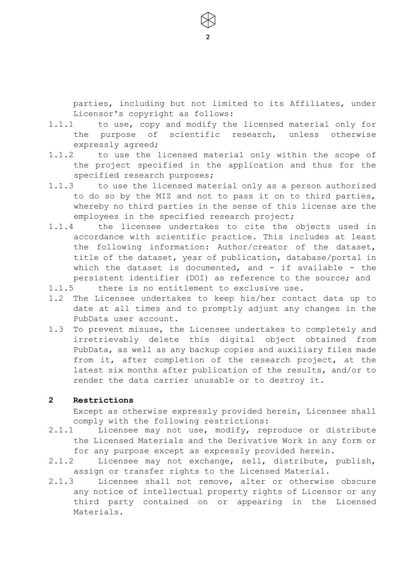parties, including but not limited to its Affiliates, under Licensor's copyright as follows:

1.1.1 to use, copy and modify the licensed material only for the purpose of scientific research, unless otherwise expressly agreed;

2

- 1.1.2 to use the licensed material only within the scope of the project specified in the application and thus for the specified research purposes;
- 1.1.3 to use the licensed material only as a person authorized to do so by the MIZ and not to pass it on to third parties, whereby no third parties in the sense of this license are the employees in the specified research project;
- 1.1.4 the licensee undertakes to cite the objects used in accordance with scientific practice. This includes at least the following information: Author/creator of the dataset, title of the dataset, year of publication, database/portal in which the dataset is documented, and - if available - the persistent identifier (DOI) as reference to the source; and
- 1.1.5 there is no entitlement to exclusive use.
- 1.2 The Licensee undertakes to keep his/her contact data up to date at all times and to promptly adjust any changes in the PubData user account.
- 1.3 To prevent misuse, the Licensee undertakes to completely and irretrievably delete this digital object obtained from PubData, as well as any backup copies and auxiliary files made from it, after completion of the research project, at the latest six months after publication of the results, and/or to render the data carrier unusable or to destroy it.

#### **2 Restrictions**

Except as otherwise expressly provided herein, Licensee shall comply with the following restrictions:

- 2.1.1 Licensee may not use, modify, reproduce or distribute the Licensed Materials and the Derivative Work in any form or for any purpose except as expressly provided herein.
- 2.1.2 Licensee may not exchange, sell, distribute, publish, assign or transfer rights to the Licensed Material.
- 2.1.3 Licensee shall not remove, alter or otherwise obscure any notice of intellectual property rights of Licensor or any third party contained on or appearing in the Licensed Materials.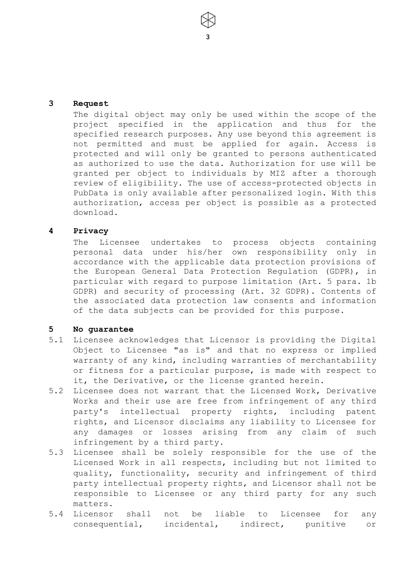#### **3 Request**

The digital object may only be used within the scope of the project specified in the application and thus for the specified research purposes. Any use beyond this agreement is not permitted and must be applied for again. Access is protected and will only be granted to persons authenticated as authorized to use the data. Authorization for use will be granted per object to individuals by MIZ after a thorough review of eligibility. The use of access-protected objects in PubData is only available after personalized login. With this authorization, access per object is possible as a protected download.

3

#### **4 Privacy**

The Licensee undertakes to process objects containing personal data under his/her own responsibility only in accordance with the applicable data protection provisions of the European General Data Protection Regulation (GDPR), in particular with regard to purpose limitation (Art. 5 para. 1b GDPR) and security of processing (Art. 32 GDPR). Contents of the associated data protection law consents and information of the data subjects can be provided for this purpose.

## **5 No guarantee**

- 5.1 Licensee acknowledges that Licensor is providing the Digital Object to Licensee "as is" and that no express or implied warranty of any kind, including warranties of merchantability or fitness for a particular purpose, is made with respect to it, the Derivative, or the license granted herein.
- 5.2 Licensee does not warrant that the Licensed Work, Derivative Works and their use are free from infringement of any third party's intellectual property rights, including patent rights, and Licensor disclaims any liability to Licensee for any damages or losses arising from any claim of such infringement by a third party.
- 5.3 Licensee shall be solely responsible for the use of the Licensed Work in all respects, including but not limited to quality, functionality, security and infringement of third party intellectual property rights, and Licensor shall not be responsible to Licensee or any third party for any such matters.
- 5.4 Licensor shall not be liable to Licensee for any consequential, incidental, indirect, punitive or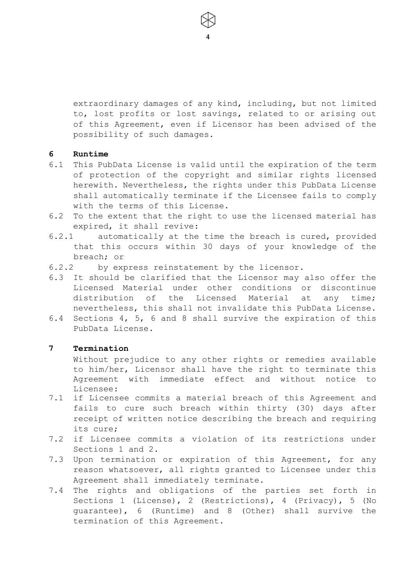extraordinary damages of any kind, including, but not limited to, lost profits or lost savings, related to or arising out of this Agreement, even if Licensor has been advised of the possibility of such damages.

4

# **6 Runtime**

- 6.1 This PubData License is valid until the expiration of the term of protection of the copyright and similar rights licensed herewith. Nevertheless, the rights under this PubData License shall automatically terminate if the Licensee fails to comply with the terms of this License.
- 6.2 To the extent that the right to use the licensed material has expired, it shall revive:
- 6.2.1 automatically at the time the breach is cured, provided that this occurs within 30 days of your knowledge of the breach; or
- 6.2.2 by express reinstatement by the licensor.
- 6.3 It should be clarified that the Licensor may also offer the Licensed Material under other conditions or discontinue distribution of the Licensed Material at any time; nevertheless, this shall not invalidate this PubData License.
- 6.4 Sections 4, 5, 6 and 8 shall survive the expiration of this PubData License.

## **7 Termination**

Without prejudice to any other rights or remedies available to him/her, Licensor shall have the right to terminate this Agreement with immediate effect and without notice to Licensee:

- 7.1 if Licensee commits a material breach of this Agreement and fails to cure such breach within thirty (30) days after receipt of written notice describing the breach and requiring its cure;
- 7.2 if Licensee commits a violation of its restrictions under Sections 1 and 2.
- 7.3 Upon termination or expiration of this Agreement, for any reason whatsoever, all rights granted to Licensee under this Agreement shall immediately terminate.
- 7.4 The rights and obligations of the parties set forth in Sections 1 (License), 2 (Restrictions), 4 (Privacy), 5 (No guarantee), 6 (Runtime) and 8 (Other) shall survive the termination of this Agreement.